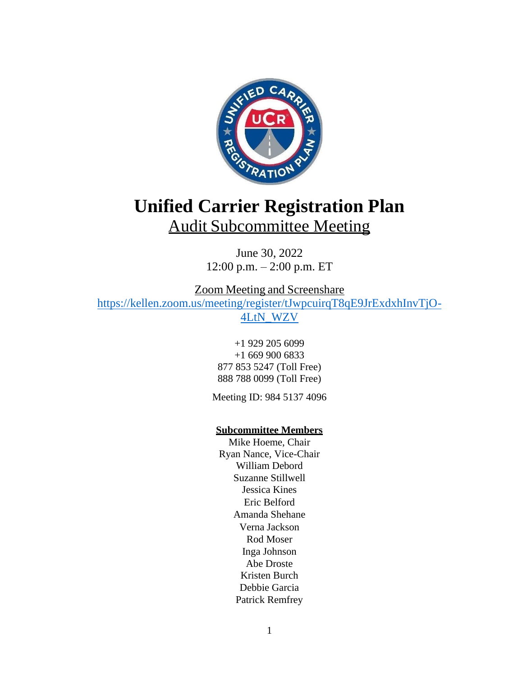

# **Unified Carrier Registration Plan** Audit Subcommittee Meeting

June 30, 2022 12:00 p.m. – 2:00 p.m. ET

Zoom Meeting and Screenshare

[https://kellen.zoom.us/meeting/register/tJwpcuirqT8qE9JrExdxhInvTjO-](https://kellen.zoom.us/meeting/register/tJwpcuirqT8qE9JrExdxhInvTjO-4LtN_WZV)[4LtN\\_WZV](https://kellen.zoom.us/meeting/register/tJwpcuirqT8qE9JrExdxhInvTjO-4LtN_WZV)

+1 929 205 6099 +1 669 900 6833 877 853 5247 (Toll Free) 888 788 0099 (Toll Free)

Meeting ID: 984 5137 4096

# **Subcommittee Members**

Mike Hoeme, Chair Ryan Nance, Vice-Chair William Debord Suzanne Stillwell Jessica Kines Eric Belford Amanda Shehane Verna Jackson Rod Moser Inga Johnson Abe Droste Kristen Burch Debbie Garcia Patrick Remfrey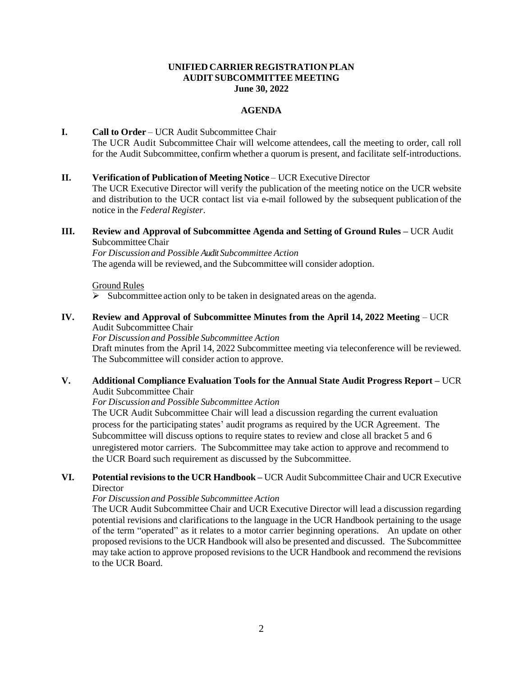#### **UNIFIED CARRIER REGISTRATION PLAN AUDIT SUBCOMMITTEE MEETING June 30, 2022**

### **AGENDA**

# **I. Call to Order** – UCR Audit Subcommittee Chair The UCR Audit Subcommittee Chair will welcome attendees, call the meeting to order, call roll for the Audit Subcommittee, confirm whether a quorum is present, and facilitate self-introductions.

#### **II. Verification of Publication of Meeting Notice** – UCR Executive Director

The UCR Executive Director will verify the publication of the meeting notice on the UCR website and distribution to the UCR contact list via e-mail followed by the subsequent publication of the notice in the *Federal Register*.

## **III. Review and Approval of Subcommittee Agenda and Setting of Ground Rules –** UCR Audit **S**ubcommittee Chair

*For Discussion and Possible Audit Subcommittee Action* The agenda will be reviewed, and the Subcommittee will consider adoption.

#### Ground Rules

Subcommittee action only to be taken in designated areas on the agenda.

## **IV. Review and Approval of Subcommittee Minutes from the April 14, 2022 Meeting** – UCR Audit Subcommittee Chair

*For Discussion and Possible Subcommittee Action*

Draft minutes from the April 14, 2022 Subcommittee meeting via teleconference will be reviewed. The Subcommittee will consider action to approve.

# **V. Additional Compliance Evaluation Tools for the Annual State Audit Progress Report –** UCR Audit Subcommittee Chair

*For Discussion and Possible Subcommittee Action*

The UCR Audit Subcommittee Chair will lead a discussion regarding the current evaluation process for the participating states' audit programs as required by the UCR Agreement. The Subcommittee will discuss options to require states to review and close all bracket 5 and 6 unregistered motor carriers. The Subcommittee may take action to approve and recommend to the UCR Board such requirement as discussed by the Subcommittee.

## **VI. Potential revisions to the UCR Handbook –** UCR Audit Subcommittee Chair and UCR Executive **Director**

#### *For Discussion and Possible Subcommittee Action*

The UCR Audit Subcommittee Chair and UCR Executive Director will lead a discussion regarding potential revisions and clarifications to the language in the UCR Handbook pertaining to the usage of the term "operated" as it relates to a motor carrier beginning operations. An update on other proposed revisions to the UCR Handbook will also be presented and discussed. The Subcommittee may take action to approve proposed revisions to the UCR Handbook and recommend the revisions to the UCR Board.